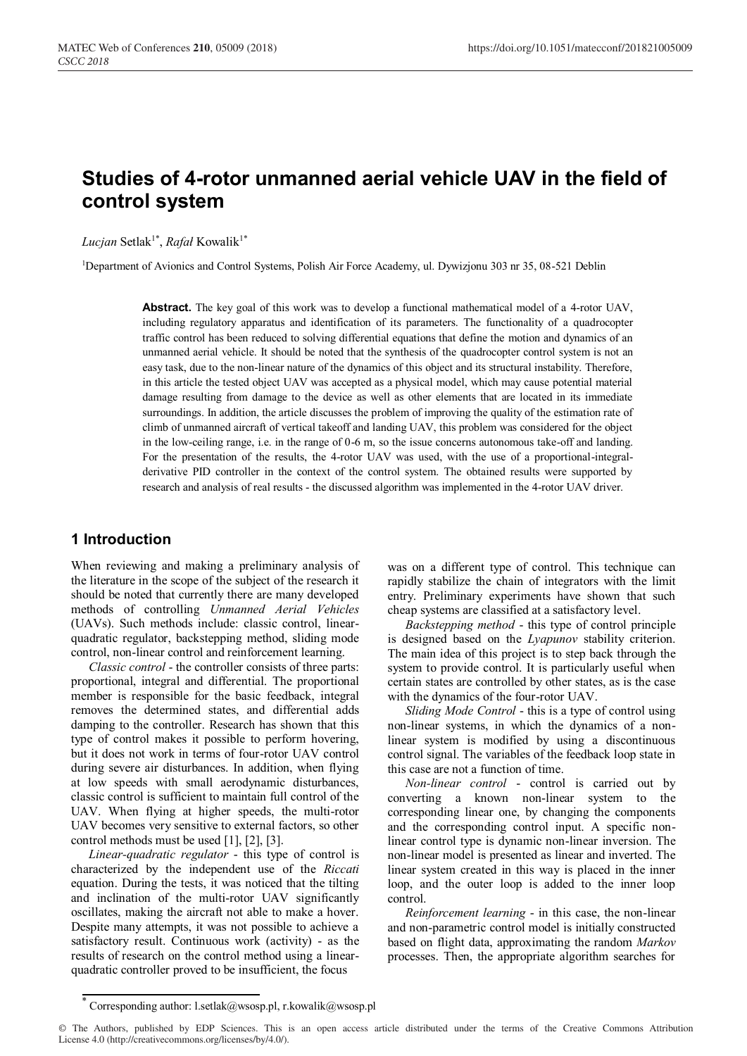# **Studies of 4-rotor unmanned aerial vehicle UAV in the field of control system**

 $Lucjan Setlak<sup>1*</sup>, *Rafal* Kowalik<sup>1*</sup>$ 

<sup>1</sup>Department of Avionics and Control Systems, Polish Air Force Academy, ul. Dywizjonu 303 nr 35, 08-521 Deblin

**Abstract.** The key goal of this work was to develop a functional mathematical model of a 4-rotor UAV, including regulatory apparatus and identification of its parameters. The functionality of a quadrocopter traffic control has been reduced to solving differential equations that define the motion and dynamics of an unmanned aerial vehicle. It should be noted that the synthesis of the quadrocopter control system is not an easy task, due to the non-linear nature of the dynamics of this object and its structural instability. Therefore, in this article the tested object UAV was accepted as a physical model, which may cause potential material damage resulting from damage to the device as well as other elements that are located in its immediate surroundings. In addition, the article discusses the problem of improving the quality of the estimation rate of climb of unmanned aircraft of vertical takeoff and landing UAV, this problem was considered for the object in the low-ceiling range, i.e. in the range of 0-6 m, so the issue concerns autonomous take-off and landing. For the presentation of the results, the 4-rotor UAV was used, with the use of a proportional-integralderivative PID controller in the context of the control system. The obtained results were supported by research and analysis of real results - the discussed algorithm was implemented in the 4-rotor UAV driver.

# **1 Introduction**

When reviewing and making a preliminary analysis of the literature in the scope of the subject of the research it should be noted that currently there are many developed methods of controlling *Unmanned Aerial Vehicles* (UAVs). Such methods include: classic control, linearquadratic regulator, backstepping method, sliding mode control, non-linear control and reinforcement learning.

*Classic control* - the controller consists of three parts: proportional, integral and differential. The proportional member is responsible for the basic feedback, integral removes the determined states, and differential adds damping to the controller. Research has shown that this type of control makes it possible to perform hovering, but it does not work in terms of four-rotor UAV control during severe air disturbances. In addition, when flying at low speeds with small aerodynamic disturbances, classic control is sufficient to maintain full control of the UAV. When flying at higher speeds, the multi-rotor UAV becomes very sensitive to external factors, so other control methods must be used [1], [2], [3].

*Linear-quadratic regulator* - this type of control is characterized by the independent use of the *Riccati*  equation. During the tests, it was noticed that the tilting and inclination of the multi-rotor UAV significantly oscillates, making the aircraft not able to make a hover. Despite many attempts, it was not possible to achieve a satisfactory result. Continuous work (activity) - as the results of research on the control method using a linearquadratic controller proved to be insufficient, the focus

was on a different type of control. This technique can rapidly stabilize the chain of integrators with the limit entry. Preliminary experiments have shown that such cheap systems are classified at a satisfactory level.

*Backstepping method* - this type of control principle is designed based on the *Lyapunov* stability criterion. The main idea of this project is to step back through the system to provide control. It is particularly useful when certain states are controlled by other states, as is the case with the dynamics of the four-rotor UAV.

*Sliding Mode Control* - this is a type of control using non-linear systems, in which the dynamics of a nonlinear system is modified by using a discontinuous control signal. The variables of the feedback loop state in this case are not a function of time.

*Non-linear control* - control is carried out by converting a known non-linear system to the corresponding linear one, by changing the components and the corresponding control input. A specific nonlinear control type is dynamic non-linear inversion. The non-linear model is presented as linear and inverted. The linear system created in this way is placed in the inner loop, and the outer loop is added to the inner loop control.

*Reinforcement learning* - in this case, the non-linear and non-parametric control model is initially constructed based on flight data, approximating the random *Markov* processes. Then, the appropriate algorithm searches for

 $^\ast$  Corresponding author: l.setlak@wsosp.pl, r.kowalik@wsosp.pl

<sup>©</sup> The Authors, published by EDP Sciences. This is an open access article distributed under the terms of the Creative Commons Attribution License 4.0 (http://creativecommons.org/licenses/by/4.0/).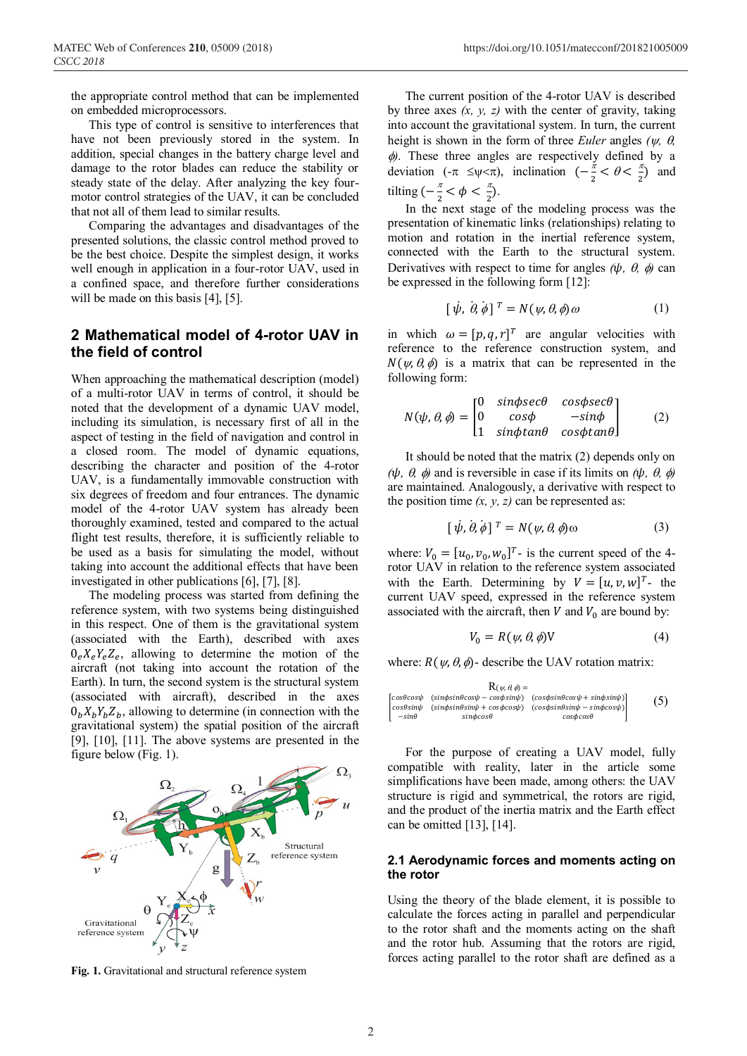the appropriate control method that can be implemented on embedded microprocessors.

This type of control is sensitive to interferences that have not been previously stored in the system. In addition, special changes in the battery charge level and damage to the rotor blades can reduce the stability or steady state of the delay. After analyzing the key fourmotor control strategies of the UAV, it can be concluded that not all of them lead to similar results.

Comparing the advantages and disadvantages of the presented solutions, the classic control method proved to be the best choice. Despite the simplest design, it works well enough in application in a four-rotor UAV, used in a confined space, and therefore further considerations will be made on this basis [4], [5].

# **2 Mathematical model of 4-rotor UAV in the field of control**

When approaching the mathematical description (model) of a multi-rotor UAV in terms of control, it should be noted that the development of a dynamic UAV model, including its simulation, is necessary first of all in the aspect of testing in the field of navigation and control in a closed room. The model of dynamic equations, describing the character and position of the 4-rotor UAV, is a fundamentally immovable construction with six degrees of freedom and four entrances. The dynamic model of the 4-rotor UAV system has already been thoroughly examined, tested and compared to the actual flight test results, therefore, it is sufficiently reliable to be used as a basis for simulating the model, without taking into account the additional effects that have been investigated in other publications [6], [7], [8].

The modeling process was started from defining the reference system, with two systems being distinguished in this respect. One of them is the gravitational system (associated with the Earth), described with axes  $0_e X_e Y_e Z_e$ , allowing to determine the motion of the aircraft (not taking into account the rotation of the Earth). In turn, the second system is the structural system (associated with aircraft), described in the axes  $0<sub>b</sub> X<sub>b</sub> Y<sub>b</sub> Z<sub>b</sub>$ , allowing to determine (in connection with the gravitational system) the spatial position of the aircraft [9], [10], [11]. The above systems are presented in the figure below (Fig. 1).



**Fig. 1.** Gravitational and structural reference system

The current position of the 4-rotor UAV is described by three axes  $(x, y, z)$  with the center of gravity, taking into account the gravitational system. In turn, the current height is shown in the form of three *Euler* angles  $(\psi, \theta)$ *)*. These three angles are respectively defined by a deviation ( $-\pi \le \psi < \pi$ ), inclination ( $-\frac{\pi}{2} < \theta < \frac{\pi}{2}$ ) and tilting  $\left(-\frac{\pi}{2} < \phi < \frac{\pi}{2}\right)$ .

In the next stage of the modeling process was the presentation of kinematic links (relationships) relating to motion and rotation in the inertial reference system, connected with the Earth to the structural system. Derivatives with respect to time for angles  $(\psi, \theta, \phi)$  can be expressed in the following form [12]:

$$
[\psi, \dot{\theta}, \dot{\phi}]^{T} = N(\psi, \theta, \phi)\omega \qquad (1)
$$

in which  $\omega = [p, q, r]^T$  are angular velocities with reference to the reference construction system, and  $N(\psi, \theta, \phi)$  is a matrix that can be represented in the following form:

$$
N(\psi, \theta, \phi) = \begin{bmatrix} 0 & \text{sin} \phi \text{sec} \theta & \text{cos} \phi \text{sec} \theta \\ 0 & \text{cos} \phi & -\text{sin} \phi \\ 1 & \text{sin} \phi \text{tan} \theta & \text{cos} \phi \text{tan} \theta \end{bmatrix} \tag{2}
$$

It should be noted that the matrix (2) depends only on  $(\psi, \theta, \phi)$  and is reversible in case if its limits on  $(\psi, \theta, \phi)$ are maintained. Analogously, a derivative with respect to the position time  $(x, y, z)$  can be represented as:

$$
[\psi, \dot{\theta}, \dot{\phi}]^{T} = N(\psi, \theta, \phi) \omega \qquad (3)
$$

where:  $V_0 = [u_0, v_0, w_0]^T$ - is the current speed of the 4rotor UAV in relation to the reference system associated with the Earth. Determining by  $V = [u, v, w]^T$ - the current UAV speed, expressed in the reference system associated with the aircraft, then  $V$  and  $V_0$  are bound by:

$$
V_0 = R(\psi, \theta, \phi) V \tag{4}
$$

where:  $R(\psi, \theta, \phi)$ - describe the UAV rotation matrix:

$$
\begin{bmatrix}\nR(\psi, \theta, \phi) = \\
\text{(cos\theta cos\psi} & (\text{sin\phi sin\theta cos\psi} - \text{cos\phi sin\psi}) & (\text{cos\phi sin\theta cos\psi} + \text{sin\phi sin\psi}) \\
\text{cos\theta sin\psi} & (\text{sin\phi sin\theta sin\psi} + \text{cos\phi cos\psi}) & (\text{cos\phi sin\theta sin\psi} - \text{sin\phi cos\psi}) \\
-\text{sin\theta} & \text{sin\phi cos\theta} & \text{cos\phi cos\theta}\n\end{bmatrix}
$$
\n(5)

For the purpose of creating a UAV model, fully compatible with reality, later in the article some simplifications have been made, among others: the UAV structure is rigid and symmetrical, the rotors are rigid, and the product of the inertia matrix and the Earth effect can be omitted [13], [14].

#### **2.1 Aerodynamic forces and moments acting on the rotor**

Using the theory of the blade element, it is possible to calculate the forces acting in parallel and perpendicular to the rotor shaft and the moments acting on the shaft and the rotor hub. Assuming that the rotors are rigid, forces acting parallel to the rotor shaft are defined as a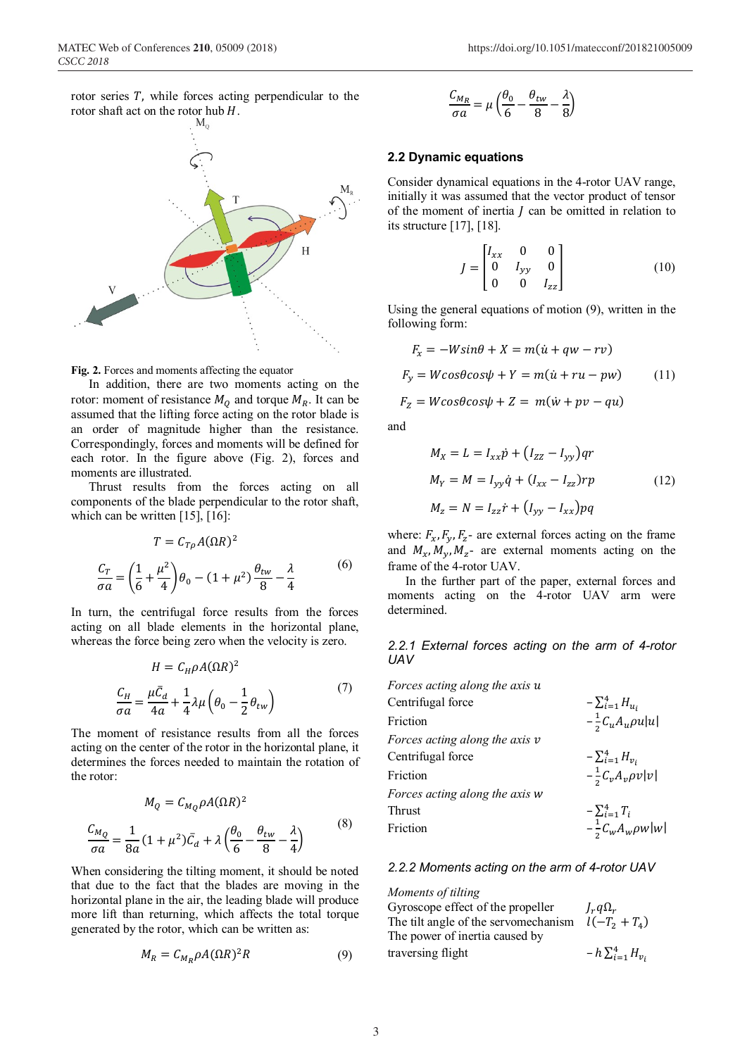rotor series  $T$ , while forces acting perpendicular to the rotor shaft act on the rotor hub  $H$ .





In addition, there are two moments acting on the rotor: moment of resistance  $M_0$  and torque  $M_R$ . It can be assumed that the lifting force acting on the rotor blade is an order of magnitude higher than the resistance. Correspondingly, forces and moments will be defined for each rotor. In the figure above (Fig. 2), forces and moments are illustrated.

Thrust results from the forces acting on all components of the blade perpendicular to the rotor shaft, which can be written  $[15]$ ,  $[16]$ :

$$
T = C_{T\rho} A(\Omega R)^2
$$

$$
\frac{C_T}{\sigma a} = \left(\frac{1}{6} + \frac{\mu^2}{4}\right)\theta_0 - (1 + \mu^2)\frac{\theta_{tw}}{8} - \frac{\lambda}{4}
$$
(6)

In turn, the centrifugal force results from the forces acting on all blade elements in the horizontal plane, whereas the force being zero when the velocity is zero.

$$
H = C_H \rho A (\Omega R)^2
$$
  
\n
$$
\frac{C_H}{\sigma a} = \frac{\mu \bar{C}_d}{4a} + \frac{1}{4} \lambda \mu \left(\theta_0 - \frac{1}{2} \theta_{tw}\right)
$$
\n(7)

The moment of resistance results from all the forces acting on the center of the rotor in the horizontal plane, it determines the forces needed to maintain the rotation of the rotor:

$$
M_Q = C_{M_Q} \rho A (\Omega R)^2
$$
  

$$
\frac{C_{M_Q}}{\sigma a} = \frac{1}{8a} (1 + \mu^2) \bar{C}_d + \lambda \left(\frac{\theta_0}{6} - \frac{\theta_{tw}}{8} - \frac{\lambda}{4}\right)
$$
 (8)

When considering the tilting moment, it should be noted that due to the fact that the blades are moving in the horizontal plane in the air, the leading blade will produce more lift than returning, which affects the total torque generated by the rotor, which can be written as:

$$
M_R = C_{M_R} \rho A (\Omega R)^2 R \tag{9}
$$

$$
\frac{C_{M_R}}{\sigma a} = \mu \left( \frac{\theta_0}{6} - \frac{\theta_{tw}}{8} - \frac{\lambda}{8} \right)
$$

#### **2.2 Dynamic equations**

Consider dynamical equations in the 4-rotor UAV range, initially it was assumed that the vector product of tensor of the moment of inertia  *can be omitted in relation to* its structure [17], [18].

$$
J = \begin{bmatrix} I_{xx} & 0 & 0 \\ 0 & I_{yy} & 0 \\ 0 & 0 & I_{zz} \end{bmatrix}
$$
 (10)

Using the general equations of motion (9), written in the following form:

$$
F_x = -W\sin\theta + X = m(\dot{u} + qw - rv)
$$
  
\n
$$
F_y = W\cos\theta\cos\psi + Y = m(\dot{u} + ru - pw)
$$
 (11)  
\n
$$
F_z = W\cos\theta\cos\psi + Z = m(\dot{w} + pv - qu)
$$

and

$$
M_X = L = I_{xx} \dot{p} + (I_{ZZ} - I_{yy})qr
$$
  
\n
$$
M_Y = M = I_{yy} \dot{q} + (I_{xx} - I_{zz})rp
$$
\n
$$
M_Z = N = I_{zz} \dot{r} + (I_{yy} - I_{xx})pq
$$
\n(12)

where:  $F_x$ ,  $F_y$ ,  $F_z$ - are external forces acting on the frame and  $M_x, M_y, M_z$ - are external moments acting on the frame of the 4-rotor UAV.

In the further part of the paper, external forces and moments acting on the 4-rotor UAV arm were determined.

### *2.2.1 External forces acting on the arm of 4-rotor UAV*

| Forces acting along the axis u |                                                                |
|--------------------------------|----------------------------------------------------------------|
| Centrifugal force              |                                                                |
| Friction                       | $-\sum_{i=1}^{4} H_{u_i}$<br>$-\frac{1}{2} C_u A_u \rho u  u $ |
| Forces acting along the axis v |                                                                |
| Centrifugal force              |                                                                |
| Friction                       | $-\sum_{i=1}^{4} H_{v_i}$<br>$-\frac{1}{2} C_v A_v \rho v  v $ |
| Forces acting along the axis w |                                                                |
| Thrust                         |                                                                |
| Friction                       | $-\sum_{i=1}^{4}T_i$<br>$-\frac{1}{2}C_wA_w\rho w w $          |
|                                |                                                                |

#### *2.2.2 Moments acting on the arm of 4-rotor UAV*

#### *Moments of tilting* Gyroscope effect of the propeller  $J_r q \Omega_r$ The tilt angle of the servomechanism  $l(-T_2 + T_4)$ The power of inertia caused by traversing flight  $i=1$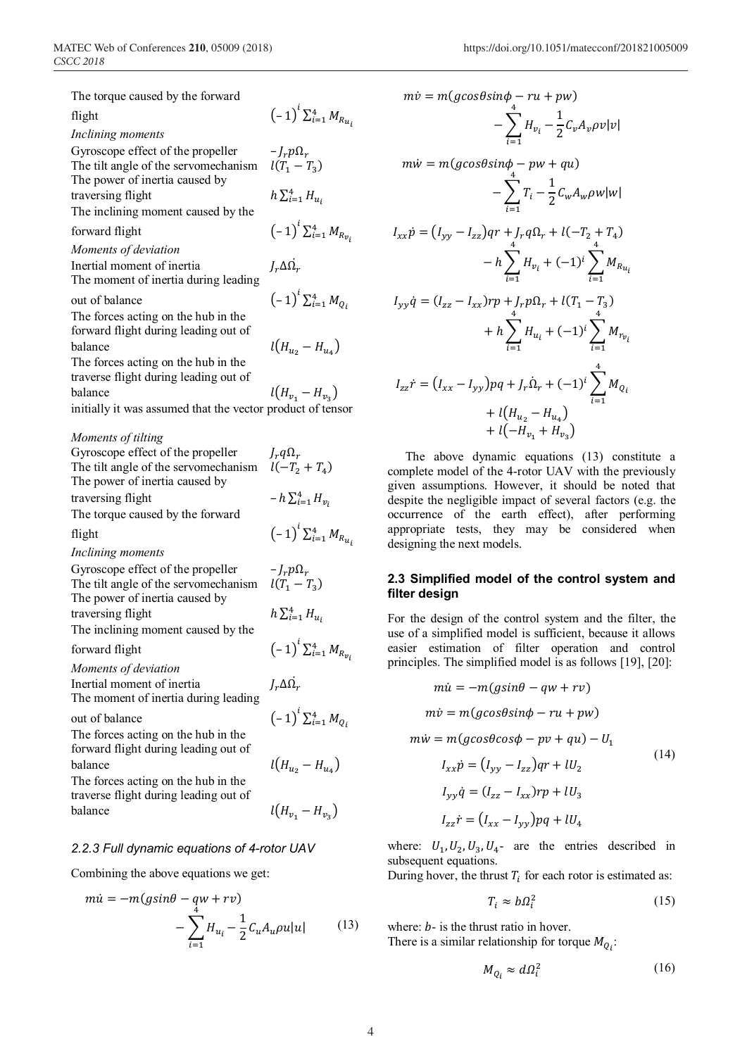| The torque caused by the forward                                                                            |                                              |
|-------------------------------------------------------------------------------------------------------------|----------------------------------------------|
| flight                                                                                                      | $(-1)^i \sum_{i=1}^4 M_{R_{u_i}}$            |
| Inclining moments                                                                                           |                                              |
| Gyroscope effect of the propeller<br>The tilt angle of the servomechanism<br>The power of inertia caused by | $-J_r p \Omega_r$<br>$l(T_1 - T_3)$          |
| traversing flight<br>The inclining moment caused by the                                                     | $h \sum_{i=1}^{4} H_{u_i}$                   |
| forward flight                                                                                              | $(-1)^i \sum_{i=1}^4 M_{R_{v_i}}$            |
| Moments of deviation<br>Inertial moment of inertia<br>The moment of inertia during leading                  | $J_r \Delta \Omega_r$                        |
| out of balance<br>The forces acting on the hub in the                                                       | $\left(-1\right)^{i} \sum_{i=1}^{4} M_{O_i}$ |
| forward flight during leading out of<br>balance<br>The forces acting on the hub in the                      | $l(H_{u_2} - H_{u_4})$                       |
| traverse flight during leading out of                                                                       |                                              |
| balance                                                                                                     | $l(H_{v_1} - H_{v_3})$                       |
| initially it was assumed that the vector product of tensor                                                  |                                              |
| Moments of tilting<br>Gyroscope effect of the propeller<br>The tilt angle of the servomechanism             | $J_r q \Omega_r$<br>$l(-T_2 + T_4)$          |
| The power of inertia caused by<br>traversing flight<br>The torque caused by the forward                     | $-h\sum_{i=1}^{4}H_{v_i}$                    |
| flight                                                                                                      | $(-1)^i \sum_{i=1}^4 M_{R_{u_i}}$            |
| Inclining moments                                                                                           |                                              |
| Gyroscope effect of the propeller<br>The tilt angle of the servomechanism<br>The power of inertia caused by | $-J_r p \Omega_r$<br>$l(T_1 - T_3)$          |
| traversing flight<br>The inclining moment caused by the                                                     | $h\sum_{i=1}^{4}H_{u_i}$                     |
| forward flight                                                                                              | $(-1)^i \sum_{i=1}^4 M_{R_{v_i}}$            |
| Moments of deviation<br>Inertial moment of inertia                                                          |                                              |
| The moment of inertia during leading                                                                        | $J_r \Delta \Omega_r$                        |

out of balance

The forces acting on the hub in the forward flight during leading out of balance  $l(H_{u_2} - H_{u_4})$ 

The forces acting on the hub in the traverse flight during leading out of balance  $l(H_{v_1} - H_{v_3})$ 

### *2.2.3 Full dynamic equations of 4-rotor UAV*

Combining the above equations we get:

$$
m\dot{u} = -m(g\sin\theta - qw + rv) - \sum_{i=1}^{4} H_{u_i} - \frac{1}{2} C_u A_u \rho u |u|
$$
 (13)

$$
m\dot{v} = m(g\cos\theta\sin\phi - ru + pw)
$$
  
\n
$$
- \sum_{i=1}^{4} H_{v_i} - \frac{1}{2} C_v A_v \rho v |v|
$$
  
\n
$$
m\dot{w} = m(g\cos\theta\sin\phi - pw + qu)
$$
  
\n
$$
- \sum_{i=1}^{4} T_i - \frac{1}{2} C_w A_w \rho w |w|
$$
  
\n
$$
I_{xx}\dot{p} = (I_{yy} - I_{zz})qr + J_r q \Omega_r + l(-T_2 + T_4)
$$
  
\n
$$
- h \sum_{i=1}^{4} H_{v_i} + (-1)^i \sum_{i=1}^{4} M_{R_{u_i}}
$$
  
\n
$$
I_{yy}\dot{q} = (I_{zz} - I_{xx})rp + J_r p \Omega_r + l(T_1 - T_3)
$$
  
\n
$$
+ h \sum_{i=1}^{4} H_{u_i} + (-1)^i \sum_{i=1}^{4} M_{r_{v_i}}
$$
  
\n
$$
I_{zz}\dot{r} = (I_{xx} - I_{yy})pq + J_r \dot{\Omega}_r + (-1)^i \sum_{i=1}^{4} M_{Q_i}
$$
  
\n
$$
+ l(H_{u_2} - H_{u_4})
$$
  
\n
$$
+ l(-H_{v_1} + H_{v_3})
$$

The above dynamic equations (13) constitute a complete model of the 4-rotor UAV with the previously given assumptions. However, it should be noted that despite the negligible impact of several factors (e.g. the occurrence of the earth effect), after performing appropriate tests, they may be considered when designing the next models.

### **2.3 Simplified model of the control system and filter design**

For the design of the control system and the filter, the use of a simplified model is sufficient, because it allows easier estimation of filter operation and control principles. The simplified model is as follows [19], [20]:

$$
m\dot{u} = -m(g\sin\theta - qw + rv)
$$
  
\n
$$
m\dot{v} = m(g\cos\theta\sin\phi - ru + pw)
$$
  
\n
$$
m\dot{w} = m(g\cos\theta\cos\phi - pv + qu) - U_1
$$
  
\n
$$
I_{xx}\dot{p} = (I_{yy} - I_{zz})qr + lU_2
$$
  
\n
$$
I_{yy}\dot{q} = (I_{zz} - I_{xx})rp + lU_3
$$
  
\n
$$
I_{zz}\dot{r} = (I_{xx} - I_{yy})pq + lU_4
$$
 (14)

where:  $U_1, U_2, U_3, U_4$ - are the entries described in subsequent equations.

During hover, the thrust  $T_i$  for each rotor is estimated as:

$$
T_i \approx b\Omega_i^2 \tag{15}
$$

where:  $b$ - is the thrust ratio in hover. There is a similar relationship for torque  $M_{Q_i}$ :

$$
M_{Q_i} \approx d\Omega_i^2 \tag{16}
$$

 $\sum_{i=1}^{4} M_{Q_i}$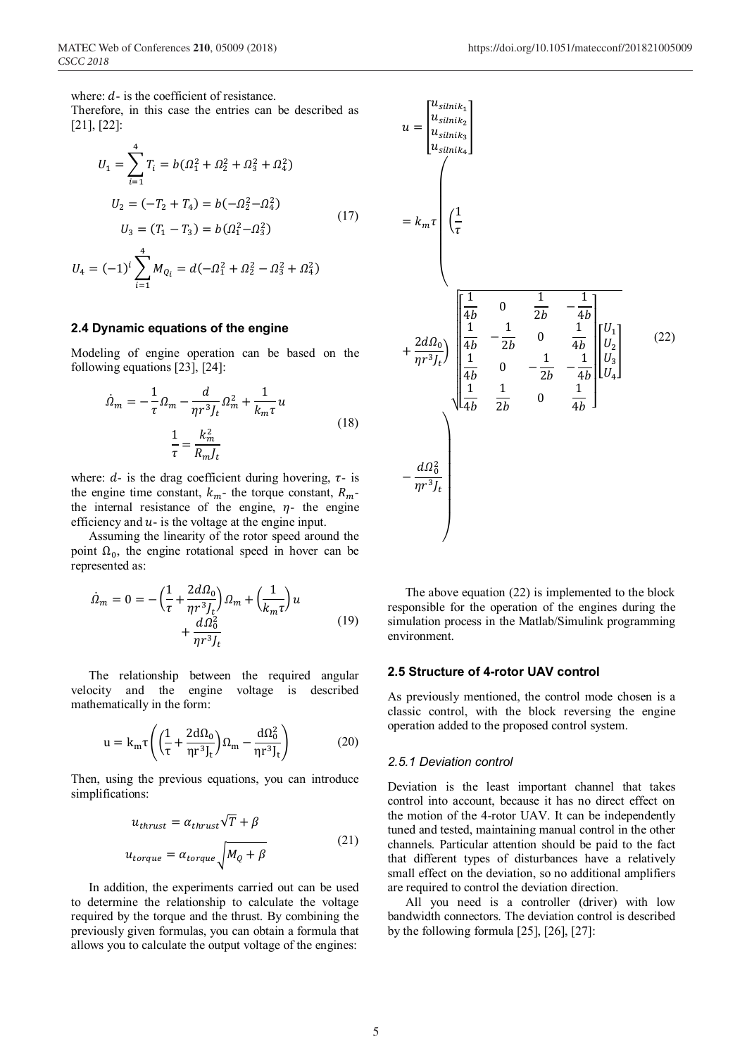where:  $d$ - is the coefficient of resistance.

Therefore, in this case the entries can be described as [21], [22]:

$$
U_1 = \sum_{i=1}^4 T_i = b(\Omega_1^2 + \Omega_2^2 + \Omega_3^2 + \Omega_4^2)
$$
  
\n
$$
U_2 = (-T_2 + T_4) = b(-\Omega_2^2 - \Omega_4^2)
$$
  
\n
$$
U_3 = (T_1 - T_3) = b(\Omega_1^2 - \Omega_3^2)
$$
  
\n
$$
U_4 = (-1)^i \sum_{i=1}^4 M_{Q_i} = d(-\Omega_1^2 + \Omega_2^2 - \Omega_3^2 + \Omega_4^2)
$$
 (17)

#### **2.4 Dynamic equations of the engine**

Modeling of engine operation can be based on the following equations [23], [24]:

$$
\dot{\Omega}_m = -\frac{1}{\tau} \Omega_m - \frac{d}{\eta r^3 J_t} \Omega_m^2 + \frac{1}{k_m \tau} u
$$
\n
$$
\frac{1}{\tau} = \frac{k_m^2}{R_m J_t}
$$
\n(18)

where:  $d$ - is the drag coefficient during hovering,  $\tau$ - is the engine time constant,  $k_m$ - the torque constant,  $R_m$ the internal resistance of the engine,  $\eta$ - the engine efficiency and  $u$ - is the voltage at the engine input.

Assuming the linearity of the rotor speed around the point  $Ω<sub>0</sub>$ , the engine rotational speed in hover can be represented as:

$$
\dot{\Omega}_m = 0 = -\left(\frac{1}{\tau} + \frac{2d\Omega_0}{\eta r^3 J_t}\right) \Omega_m + \left(\frac{1}{k_m \tau}\right) u
$$

$$
+ \frac{d\Omega_0^2}{\eta r^3 J_t} \tag{19}
$$

The relationship between the required angular velocity and the engine voltage is described mathematically in the form:

$$
u = k_m \tau \left( \left( \frac{1}{\tau} + \frac{2d\Omega_0}{\eta r^3 J_t} \right) \Omega_m - \frac{d\Omega_0^2}{\eta r^3 J_t} \right) \tag{20}
$$

Then, using the previous equations, you can introduce simplifications:

$$
u_{thrust} = \alpha_{thrust} \sqrt{T} + \beta
$$
  

$$
u_{torque} = \alpha_{torque} \sqrt{M_Q + \beta}
$$
 (21)

In addition, the experiments carried out can be used to determine the relationship to calculate the voltage required by the torque and the thrust. By combining the previously given formulas, you can obtain a formula that allows you to calculate the output voltage of the engines:



The above equation (22) is implemented to the block responsible for the operation of the engines during the simulation process in the Matlab/Simulink programming environment.

#### **2.5 Structure of 4-rotor UAV control**

As previously mentioned, the control mode chosen is a classic control, with the block reversing the engine operation added to the proposed control system.

### *2.5.1 Deviation control*

Deviation is the least important channel that takes control into account, because it has no direct effect on the motion of the 4-rotor UAV. It can be independently tuned and tested, maintaining manual control in the other channels. Particular attention should be paid to the fact that different types of disturbances have a relatively small effect on the deviation, so no additional amplifiers are required to control the deviation direction.

All you need is a controller (driver) with low bandwidth connectors. The deviation control is described by the following formula [25], [26], [27]: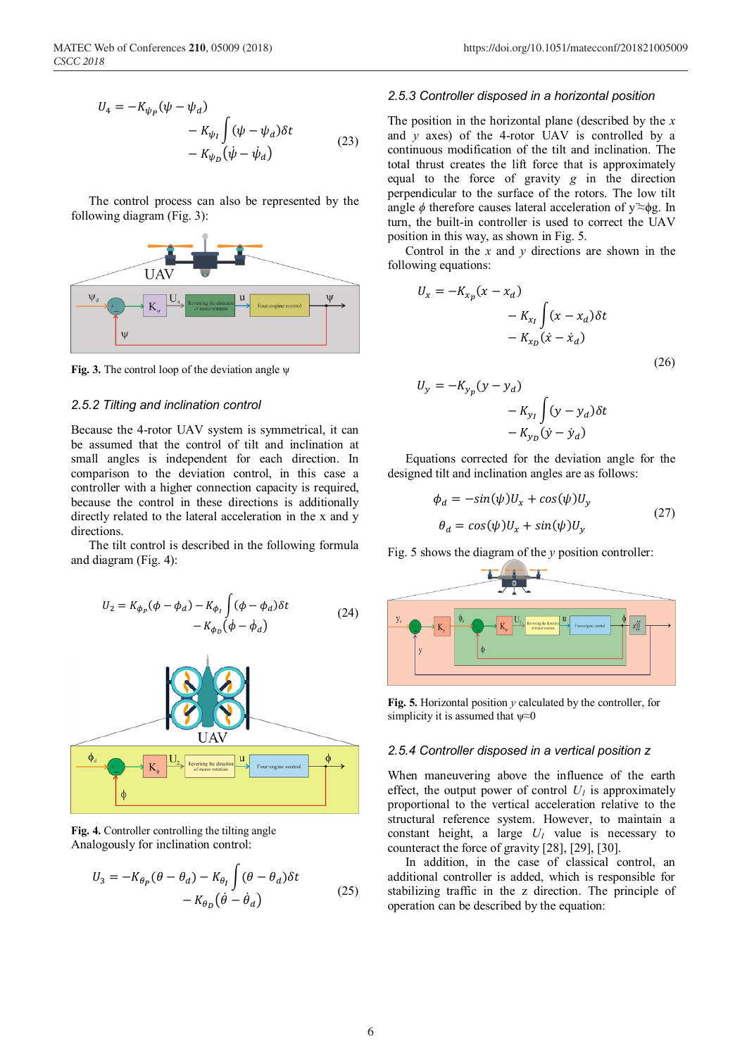$$
U_4 = -K_{\psi_P}(\psi - \psi_d)
$$
  

$$
- K_{\psi_I} \int (\psi - \psi_d) \delta t
$$
  

$$
- K_{\psi_D}(\dot{\psi} - \dot{\psi}_d)
$$
 (23)

The control process can also be represented by the following diagram (Fig. 3):



**Fig. 3.** The control loop of the deviation angle ψ

#### *2.5.2 Tilting and inclination control*

Because the 4-rotor UAV system is symmetrical, it can be assumed that the control of tilt and inclination at small angles is independent for each direction. In comparison to the deviation control, in this case a controller with a higher connection capacity is required, because the control in these directions is additionally directly related to the lateral acceleration in the x and y directions.

The tilt control is described in the following formula and diagram (Fig. 4):

$$
U_2 = K_{\phi_P}(\phi - \phi_d) - K_{\phi_I} \int (\phi - \phi_d) \delta t
$$
  
-  $K_{\phi_D}(\dot{\phi} - \dot{\phi}_d)$  (24)



Fig. 4. Controller controlling the tilting angle Analogously for inclination control:

$$
U_3 = -K_{\theta_P}(\theta - \theta_d) - K_{\theta_I} \int (\theta - \theta_d) \delta t
$$
  
-  $K_{\theta_D}(\dot{\theta} - \dot{\theta}_d)$  (25)

#### *2.5.3 Controller disposed in a horizontal position*

The position in the horizontal plane (described by the *x* and *y* axes) of the 4-rotor UAV is controlled by a continuous modification of the tilt and inclination. The total thrust creates the lift force that is approximately equal to the force of gravity *g* in the direction perpendicular to the surface of the rotors. The low tilt angle  $\phi$  therefore causes lateral acceleration of y $\approx$  $\phi$ g. In turn, the built-in controller is used to correct the UAV position in this way, as shown in Fig. 5.

Control in the *x* and *y* directions are shown in the following equations:

$$
U_x = -K_{x_p}(x - x_d)
$$

$$
- K_{x_l} \int (x - x_d) \delta t
$$

$$
- K_{x_p}(x - x_d)
$$

$$
U_y = -K_{y_p}(y - y_d)
$$
(26)

$$
-K_{y_p}(y - y_d)
$$
  

$$
-K_{y_l} \int (y - y_d) \delta t
$$
  

$$
-K_{y_p}(y - y_d)
$$

Equations corrected for the deviation angle for the designed tilt and inclination angles are as follows:

$$
\phi_d = -\sin(\psi)U_x + \cos(\psi)U_y
$$
  
\n
$$
\theta_d = \cos(\psi)U_x + \sin(\psi)U_y
$$
\n(27)

Fig. 5 shows the diagram of the *y* position controller:



**Fig. 5.** Horizontal position *y* calculated by the controller, for simplicity it is assumed that  $\psi \approx 0$ 

### *2.5.4 Controller disposed in a vertical position z*

When maneuvering above the influence of the earth effect, the output power of control  $U<sub>1</sub>$  is approximately proportional to the vertical acceleration relative to the structural reference system. However, to maintain a constant height, a large  $U_1$  value is necessary to counteract the force of gravity [28], [29], [30].

In addition, in the case of classical control, an additional controller is added, which is responsible for stabilizing traffic in the z direction. The principle of operation can be described by the equation: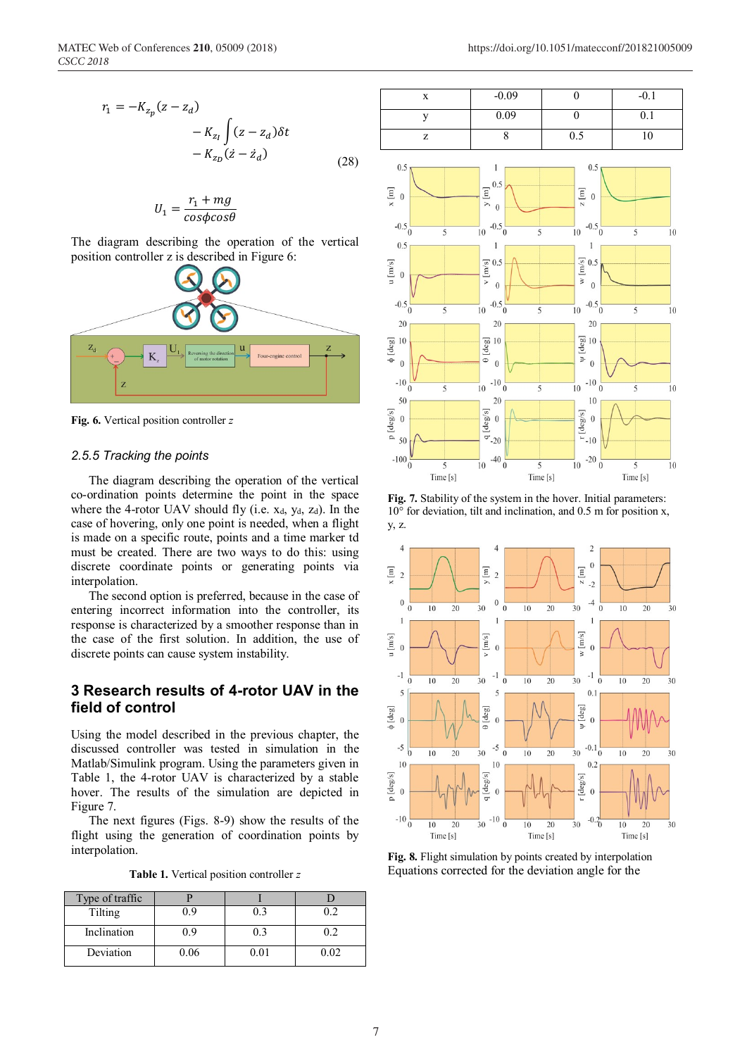$x = 0.09$  0  $-0.1$ y 0.09 0 0.1

$$
r_1 = -K_{z_p}(z - z_d)
$$

$$
-K_{z_l} \int (z - z_d) \delta t
$$

$$
-K_{z_p}(z - z_d)
$$
(28)

$$
U_1 = \frac{r_1 + mg}{\cos\phi \cos\theta}
$$

The diagram describing the operation of the vertical position controller z is described in Figure 6:



**Fig. 6.** Vertical position controller *z*

#### *2.5.5 Tracking the points*

The diagram describing the operation of the vertical co-ordination points determine the point in the space where the 4-rotor UAV should fly (i.e.  $x_d$ ,  $y_d$ ,  $z_d$ ). In the case of hovering, only one point is needed, when a flight is made on a specific route, points and a time marker td must be created. There are two ways to do this: using discrete coordinate points or generating points via interpolation.

The second option is preferred, because in the case of entering incorrect information into the controller, its response is characterized by a smoother response than in the case of the first solution. In addition, the use of discrete points can cause system instability.

### **3 Research results of 4-rotor UAV in the field of control**

Using the model described in the previous chapter, the discussed controller was tested in simulation in the Matlab/Simulink program. Using the parameters given in Table 1, the 4-rotor UAV is characterized by a stable hover. The results of the simulation are depicted in Figure 7.

The next figures (Figs. 8-9) show the results of the flight using the generation of coordination points by interpolation.

**Table 1.** Vertical position controller *z*

| Type of traffic |      |      |      |
|-----------------|------|------|------|
| Tilting         | () ና | 0.3  | 02   |
| Inclination     | 09   | 0.3  | 02   |
| Deviation       | 0.06 | 0.01 | ) በ2 |



**Fig. 7.** Stability of the system in the hover. Initial parameters: 10° for deviation, tilt and inclination, and 0.5 m for position x, y, z.



**Fig. 8.** Flight simulation by points created by interpolation Equations corrected for the deviation angle for the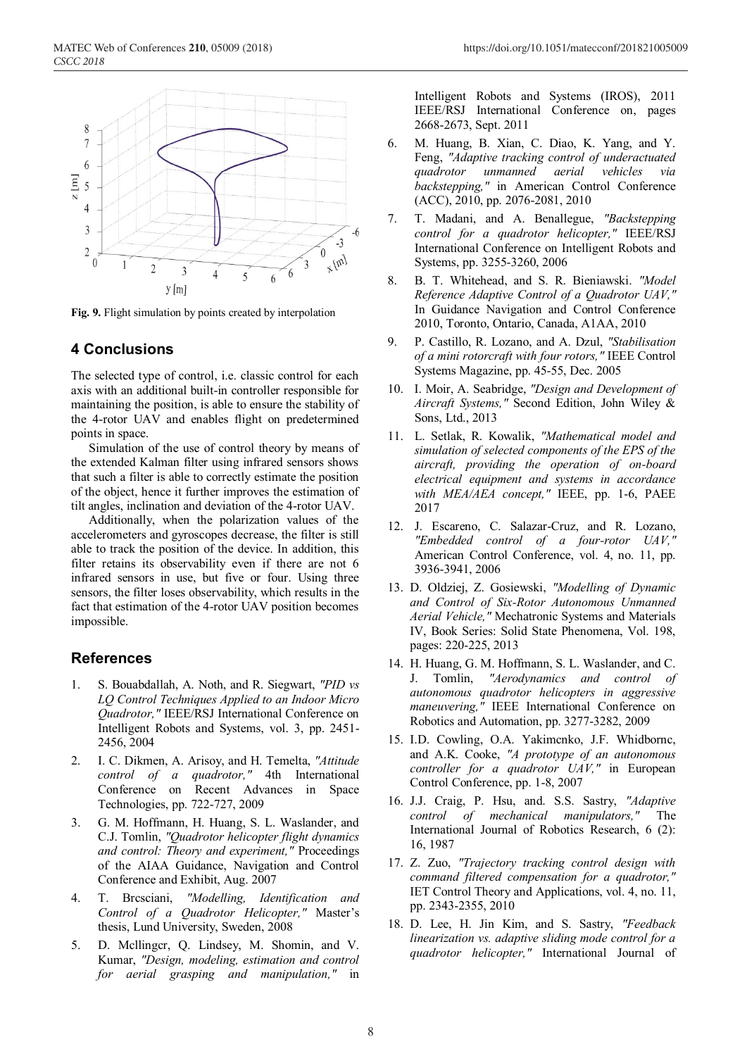

Fig. 9. Flight simulation by points created by interpolation

# **4 Conclusions**

The selected type of control, i.e. classic control for each axis with an additional built-in controller responsible for maintaining the position, is able to ensure the stability of the 4-rotor UAV and enables flight on predetermined points in space.

Simulation of the use of control theory by means of the extended Kalman filter using infrared sensors shows that such a filter is able to correctly estimate the position of the object, hence it further improves the estimation of tilt angles, inclination and deviation of the 4-rotor UAV.

Additionally, when the polarization values of the accelerometers and gyroscopes decrease, the filter is still able to track the position of the device. In addition, this filter retains its observability even if there are not 6 infrared sensors in use, but five or four. Using three sensors, the filter loses observability, which results in the fact that estimation of the 4-rotor UAV position becomes impossible.

# **References**

- 1. S. Bouabdallah, A. Noth, and R. Siegwart, *"PID vs LQ Control Techniques Applied to an Indoor Micro Quadrotor,"* IEEE/RSJ International Conference on Intelligent Robots and Systems, vol. 3, pp. 2451- 2456, 2004
- 2. I. C. Dikmen, A. Arisoy, and H. Temelta, *"Attitude control of a quadrotor,"* 4th International Conference on Recent Advances in Space Technologies, pp. 722-727, 2009
- 3. G. M. Hoffmann, H. Huang, S. L. Waslander, and C.J. Tomlin, *"Quadrotor helicopter flight dynamics and control: Theory and experiment,"* Proceedings of the AIAA Guidance, Navigation and Control Conference and Exhibit, Aug. 2007
- 4. T. Brcsciani, *"Modelling, Identification and Control of a Quadrotor Helicopter,"* Master's thesis, Lund University, Sweden, 2008
- 5. D. Mcllingcr, Q. Lindsey, M. Shomin, and V. Kumar, *"Design, modeling, estimation and control for aerial grasping and manipulation,"* in

Intelligent Robots and Systems (IROS), 2011 IEEE/RSJ International Conference on, pages 2668-2673, Sept. 2011

- 6. M. Huang, B. Xian, C. Diao, K. Yang, and Y. Feng, *"Adaptive tracking control of underactuated quadrotor unmanned aerial vehicles via backstepping,"* in American Control Conference (ACC), 2010, pp. 2076-2081, 2010
- 7. T. Madani, and A. Benallegue, *"Backstepping control for a quadrotor helicopter,"* IEEE/RSJ International Conference on Intelligent Robots and Systems, pp. 3255-3260, 2006
- 8. B. T. Whitehead, and S. R. Bieniawski. *"Model Reference Adaptive Control of a Quadrotor UAV,"* In Guidance Navigation and Control Conference 2010, Toronto, Ontario, Canada, A1AA, 2010
- 9. P. Castillo, R. Lozano, and A. Dzul, *"Stabilisation of a mini rotorcraft with four rotors,"* IEEE Control Systems Magazine, pp. 45-55, Dec. 2005
- 10. I. Moir, A. Seabridge, *"Design and Development of Aircraft Systems,"* Second Edition, John Wiley & Sons, Ltd., 2013
- 11. L. Setlak, R. Kowalik, *"Mathematical model and simulation of selected components of the EPS of the aircraft, providing the operation of on-board electrical equipment and systems in accordance with MEA/AEA concept,"* IEEE, pp. 1-6, PAEE 2017
- 12. J. Escareno, C. Salazar-Cruz, and R. Lozano, *"Embedded control of a four-rotor UAV,"* American Control Conference, vol. 4, no. 11, pp. 3936-3941, 2006
- 13. D. Oldziej, Z. Gosiewski, *"Modelling of Dynamic and Control of Six-Rotor Autonomous Unmanned Aerial Vehicle,"* Mechatronic Systems and Materials IV, Book Series: Solid State Phenomena, Vol. 198, pages: 220-225, 2013
- 14. H. Huang, G. M. Hoffmann, S. L. Waslander, and C. J. Tomlin, *"Aerodynamics and control of autonomous quadrotor helicopters in aggressive maneuvering,"* IEEE International Conference on Robotics and Automation, pp. 3277-3282, 2009
- 15. I.D. Cowling, O.A. Yakimcnko, J.F. Whidbornc, and A.K. Cooke, *"A prototype of an autonomous controller for a quadrotor UAV,"* in European Control Conference, pp. 1-8, 2007
- 16. J.J. Craig, P. Hsu, and. S.S. Sastry, *"Adaptive control of mechanical manipulators,"* The International Journal of Robotics Research, 6 (2): 16, 1987
- 17. Z. Zuo, *"Trajectory tracking control design with command filtered compensation for a quadrotor,"* IET Control Theory and Applications, vol. 4, no. 11, pp. 2343-2355, 2010
- 18. D. Lee, H. Jin Kim, and S. Sastry, *"Feedback linearization vs. adaptive sliding mode control for a quadrotor helicopter,"* International Journal of